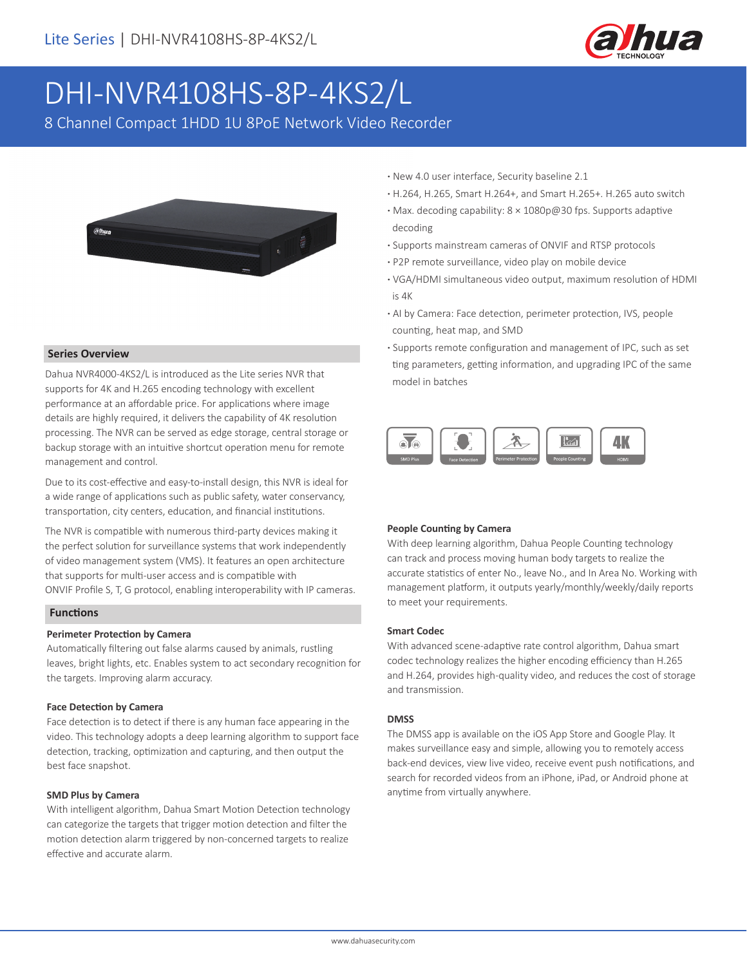

# DHI-NVR4108HS-8P-4KS2/L

8 Channel Compact 1HDD 1U 8PoE Network Video Recorder



#### **Series Overview**

Dahua NVR4000-4KS2/L is introduced as the Lite series NVR that supports for 4K and H.265 encoding technology with excellent performance at an affordable price. For applications where image details are highly required, it delivers the capability of 4K resolution processing. The NVR can be served as edge storage, central storage or backup storage with an intuitive shortcut operation menu for remote management and control.

Due to its cost-effective and easy-to-install design, this NVR is ideal for a wide range of applications such as public safety, water conservancy, transportation, city centers, education, and financial institutions.

The NVR is compatible with numerous third-party devices making it the perfect solution for surveillance systems that work independently of video management system (VMS). It features an open architecture that supports for multi-user access and is compatible with ONVIF Profile S, T, G protocol, enabling interoperability with IP cameras.

#### **Functions**

#### **Perimeter Protection by Camera**

Automatically filtering out false alarms caused by animals, rustling leaves, bright lights, etc. Enables system to act secondary recognition for the targets. Improving alarm accuracy.

#### **Face Detection by Camera**

Face detection is to detect if there is any human face appearing in the video. This technology adopts a deep learning algorithm to support face detection, tracking, optimization and capturing, and then output the best face snapshot.

#### **SMD Plus by Camera**

With intelligent algorithm, Dahua Smart Motion Detection technology can categorize the targets that trigger motion detection and filter the motion detection alarm triggered by non-concerned targets to realize effective and accurate alarm.

- **·** New 4.0 user interface, Security baseline 2.1
- **·** H.264, H.265, Smart H.264+, and Smart H.265+. H.265 auto switch
- **·** Max. decoding capability: 8 × 1080p@30 fps. Supports adaptive decoding
- **·** Supports mainstream cameras of ONVIF and RTSP protocols
- **·** P2P remote surveillance, video play on mobile device
- **·** VGA/HDMI simultaneous video output, maximum resolution of HDMI is 4K
- **·** AI by Camera: Face detection, perimeter protection, IVS, people counting, heat map, and SMD
- **·** Supports remote configuration and management of IPC, such as set ting parameters, getting information, and upgrading IPC of the same model in batches



#### **People Counting by Camera**

With deep learning algorithm, Dahua People Counting technology can track and process moving human body targets to realize the accurate statistics of enter No., leave No., and In Area No. Working with management platform, it outputs yearly/monthly/weekly/daily reports to meet your requirements.

#### **Smart Codec**

With advanced scene-adaptive rate control algorithm, Dahua smart codec technology realizes the higher encoding efficiency than H.265 and H.264, provides high-quality video, and reduces the cost of storage and transmission.

#### **DMSS**

The DMSS app is available on the iOS App Store and Google Play. It makes surveillance easy and simple, allowing you to remotely access back-end devices, view live video, receive event push notifications, and search for recorded videos from an iPhone, iPad, or Android phone at anytime from virtually anywhere.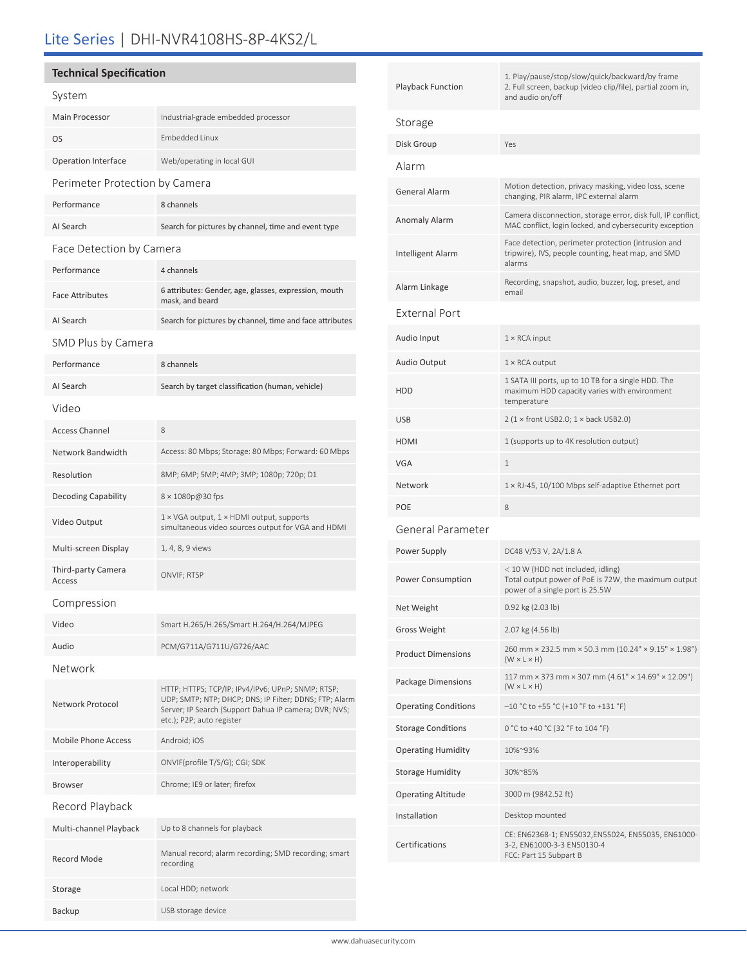## Lite Series | DHI-NVR4108HS-8P-4KS2/L

## **Technical Specification**

| System                         |                                                                                                                                                                                                   |  |  |
|--------------------------------|---------------------------------------------------------------------------------------------------------------------------------------------------------------------------------------------------|--|--|
| Main Processor                 | Industrial-grade embedded processor                                                                                                                                                               |  |  |
| OS                             | <b>Embedded Linux</b>                                                                                                                                                                             |  |  |
| <b>Operation Interface</b>     | Web/operating in local GUI                                                                                                                                                                        |  |  |
| Perimeter Protection by Camera |                                                                                                                                                                                                   |  |  |
| Performance                    | 8 channels                                                                                                                                                                                        |  |  |
| AI Search                      | Search for pictures by channel, time and event type                                                                                                                                               |  |  |
| Face Detection by Camera       |                                                                                                                                                                                                   |  |  |
| Performance                    | 4 channels                                                                                                                                                                                        |  |  |
| <b>Face Attributes</b>         | 6 attributes: Gender, age, glasses, expression, mouth<br>mask, and beard                                                                                                                          |  |  |
| AI Search                      | Search for pictures by channel, time and face attributes                                                                                                                                          |  |  |
| SMD Plus by Camera             |                                                                                                                                                                                                   |  |  |
| Performance                    | 8 channels                                                                                                                                                                                        |  |  |
| AI Search                      | Search by target classification (human, vehicle)                                                                                                                                                  |  |  |
| Video                          |                                                                                                                                                                                                   |  |  |
| <b>Access Channel</b>          | 8                                                                                                                                                                                                 |  |  |
| Network Bandwidth              | Access: 80 Mbps; Storage: 80 Mbps; Forward: 60 Mbps                                                                                                                                               |  |  |
| Resolution                     | 8MP; 6MP; 5MP; 4MP; 3MP; 1080p; 720p; D1                                                                                                                                                          |  |  |
| <b>Decoding Capability</b>     | 8 × 1080p@30 fps                                                                                                                                                                                  |  |  |
| Video Output                   | 1 × VGA output, 1 × HDMI output, supports<br>simultaneous video sources output for VGA and HDMI                                                                                                   |  |  |
| Multi-screen Display           | 1, 4, 8, 9 views                                                                                                                                                                                  |  |  |
| Third-party Camera<br>Access   | ONVIF; RTSP                                                                                                                                                                                       |  |  |
| Compression                    |                                                                                                                                                                                                   |  |  |
| Video                          | Smart H.265/H.265/Smart H.264/H.264/MJPEG                                                                                                                                                         |  |  |
| Audio                          | PCM/G711A/G711U/G726/AAC                                                                                                                                                                          |  |  |
| Network                        |                                                                                                                                                                                                   |  |  |
| Network Protocol               | HTTP; HTTPS; TCP/IP; IPv4/IPv6; UPnP; SNMP; RTSP;<br>UDP; SMTP; NTP; DHCP; DNS; IP Filter; DDNS; FTP; Alarm<br>Server; IP Search (Support Dahua IP camera; DVR; NVS;<br>etc.); P2P; auto register |  |  |
| Mobile Phone Access            | Android; iOS                                                                                                                                                                                      |  |  |
| Interoperability               | ONVIF(profile T/S/G); CGI; SDK                                                                                                                                                                    |  |  |
| <b>Browser</b>                 | Chrome; IE9 or later; firefox                                                                                                                                                                     |  |  |
| Record Playback                |                                                                                                                                                                                                   |  |  |
| Multi-channel Playback         | Up to 8 channels for playback                                                                                                                                                                     |  |  |
| <b>Record Mode</b>             | Manual record; alarm recording; SMD recording; smart<br>recording                                                                                                                                 |  |  |
| Storage                        | Local HDD; network                                                                                                                                                                                |  |  |

Backup USB storage device

| Playback Function           | 1. Play/pause/stop/slow/quick/backward/by frame<br>2. Full screen, backup (video clip/file), partial zoom in,<br>and audio on/off |  |
|-----------------------------|-----------------------------------------------------------------------------------------------------------------------------------|--|
| Storage                     |                                                                                                                                   |  |
| Disk Group                  | Yes                                                                                                                               |  |
| Alarm                       |                                                                                                                                   |  |
| General Alarm               | Motion detection, privacy masking, video loss, scene<br>changing, PIR alarm, IPC external alarm                                   |  |
| Anomaly Alarm               | Camera disconnection, storage error, disk full, IP conflict,<br>MAC conflict, login locked, and cybersecurity exception           |  |
| Intelligent Alarm           | Face detection, perimeter protection (intrusion and<br>tripwire), IVS, people counting, heat map, and SMD<br>alarms               |  |
| Alarm Linkage               | Recording, snapshot, audio, buzzer, log, preset, and<br>email                                                                     |  |
| External Port               |                                                                                                                                   |  |
| Audio Input                 | $1 \times$ RCA input                                                                                                              |  |
| Audio Output                | $1 \times$ RCA output                                                                                                             |  |
| HDD                         | 1 SATA III ports, up to 10 TB for a single HDD. The<br>maximum HDD capacity varies with environment<br>temperature                |  |
| USB                         | $2$ (1 × front USB2.0; 1 × back USB2.0)                                                                                           |  |
| HDMI                        | 1 (supports up to 4K resolution output)                                                                                           |  |
| VGA                         | 1                                                                                                                                 |  |
| Network                     | $1 \times R$ J-45, 10/100 Mbps self-adaptive Ethernet port                                                                        |  |
| POE                         | 8                                                                                                                                 |  |
| General Parameter           |                                                                                                                                   |  |
| Power Supply                | DC48 V/53 V, 2A/1.8 A                                                                                                             |  |
| Power Consumption           | < 10 W (HDD not included, idling)<br>Total output power of PoE is 72W, the maximum output<br>power of a single port is 25.5W      |  |
| Net Weight                  | 0.92 kg (2.03 lb)                                                                                                                 |  |
| Gross Weight                | 2.07 kg (4.56 lb)                                                                                                                 |  |
| Product Dimensions          | 260 mm × 232.5 mm × 50.3 mm (10.24" × 9.15" × 1.98")<br>$(W \times L \times H)$                                                   |  |
| Package Dimensions          | 117 mm $\times$ 373 mm $\times$ 307 mm (4.61" $\times$ 14.69" $\times$ 12.09")<br>$(W \times L \times H)$                         |  |
| <b>Operating Conditions</b> | $-10$ °C to +55 °C (+10 °F to +131 °F)                                                                                            |  |
| <b>Storage Conditions</b>   | 0 °C to +40 °C (32 °F to 104 °F)                                                                                                  |  |
| <b>Operating Humidity</b>   | 10%~93%                                                                                                                           |  |
| Storage Humidity            | 30%~85%                                                                                                                           |  |
| <b>Operating Altitude</b>   | 3000 m (9842.52 ft)                                                                                                               |  |
| Installation                | Desktop mounted                                                                                                                   |  |
| Certifications              | CE: EN62368-1; EN55032,EN55024, EN55035, EN61000-<br>3-2, EN61000-3-3 EN50130-4<br>FCC: Part 15 Subpart B                         |  |
|                             |                                                                                                                                   |  |